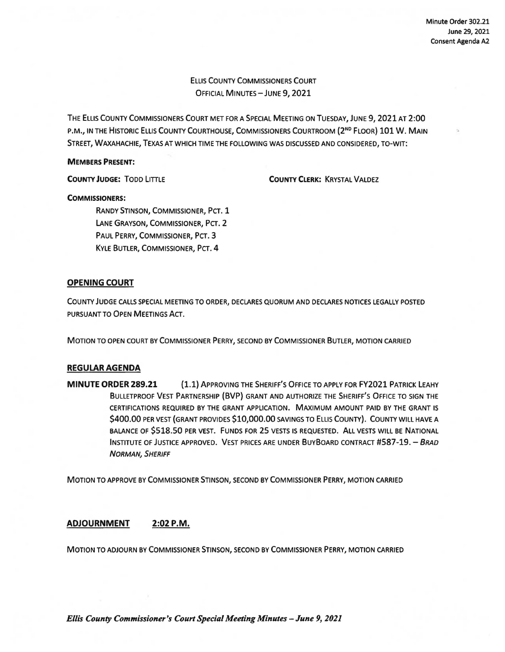ELLIS COUNTY COMMISSIONERS COURT OFFICIAL MINUTES-JUNE 9, 2021

THE ELLIS COUNTY COMMISSIONERS COURT MET FOR A SPECIAL MEETING ON TUESDAY, JUNE 9, 2021 AT 2:00 P.M., IN THE HISTORIC ELLIS COUNTY COURTHOUSE, COMMISSIONERS COURTROOM (2ND FLOOR) 101 **W. MAIN**  STREET, WAXAHACHIE, TEXAS AT WHICH TIME THE FOLLOWING WAS DISCUSSED AND CONSIDERED, TO-WIT:

### **MEMBERS PRESENT:**

**COUNTY JUDGE:** TODD LITTLE

**COUNTY CLERK:** KRYSTAL VALDEZ

### **COMMISSIONERS:**

RANDY STINSON, COMMISSIONER, PCT. 1 LANE GRAYSON, COMMISSIONER, PCT. 2 PAUL PERRY, COMMISSIONER, PCT. 3 KYLE BUTLER, COMMISSIONER, PCT. 4

# **OPENING COURT**

COUNTY JUDGE CALLS SPECIAL MEETING TO ORDER, DECLARES QUORUM AND DECLARES NOTICES LEGALLY POSTED PURSUANT TO OPEN MEETINGS ACT.

MOTION TO OPEN COURT BY COMMISSIONER PERRY, SECOND BY COMMISSIONER BUTLER, MOTION CARRIED

# **REGULAR AGENDA**

**MINUTE ORDER 289.21** (1.1) APPROVING THE SHERIFF'S OFFICE TO APPLY FOR FY2O21 PATRICK LEAHY BULLETPROOF VEST PARTNERSHIP (BVP) GRANT AND AUTHORIZE THE SHERIFF'S OFFICE TO SIGN THE CERTIFICATIONS REQUIRED BY THE GRANT APPLICATION. MAXIMUM AMOUNT PAID BY THE GRANT IS \$400.00 PER VEST (GRANT PROVIDES \$10,000.00 SAVINGS TO ELLIS COUNTY). COUNTY WILL HAVE A BALANCE OF \$518.50 PER VEST. FUNDS FOR 25 VESTS IS REQUESTED. ALL VESTS WILL BE NATIONAL INSTITUTE OF JUSTICE APPROVED. VEST PRICES ARE UNDER BUYBOARD CONTRACT #587-19. - BRAD NORMAN, SHERIFF

MOTION TO APPROVE BY COMMISSIONER STINSON, SECOND BY COMMISSIONER PERRY, MOTION CARRIED

# **ADJOURNMENT 2:02P.M.**

MOTION TO ADJOURN BY COMMISSIONER STINSON, SECOND BY COMMISSIONER PERRY, MOTION CARRIED

*Ellis County Commissioner's Court Special Meeting Minutes -June 9, 2021*